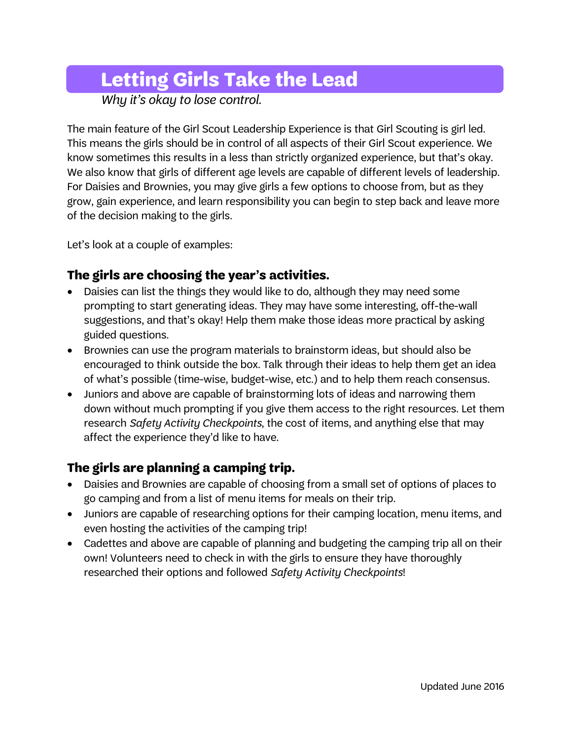## **Letting Girls Take the Lead**

*Why it's okay to lose control.*

The main feature of the Girl Scout Leadership Experience is that Girl Scouting is girl led. This means the girls should be in control of all aspects of their Girl Scout experience. We know sometimes this results in a less than strictly organized experience, but that's okay. We also know that girls of different age levels are capable of different levels of leadership. For Daisies and Brownies, you may give girls a few options to choose from, but as they grow, gain experience, and learn responsibility you can begin to step back and leave more of the decision making to the girls.

Let's look at a couple of examples:

## **The girls are choosing the year's activities.**

- Daisies can list the things they would like to do, although they may need some prompting to start generating ideas. They may have some interesting, off-the-wall suggestions, and that's okay! Help them make those ideas more practical by asking guided questions.
- Brownies can use the program materials to brainstorm ideas, but should also be encouraged to think outside the box. Talk through their ideas to help them get an idea of what's possible (time-wise, budget-wise, etc.) and to help them reach consensus.
- Juniors and above are capable of brainstorming lots of ideas and narrowing them down without much prompting if you give them access to the right resources. Let them research *Safety Activity Checkpoints*, the cost of items, and anything else that may affect the experience they'd like to have.

## **The girls are planning a camping trip.**

- Daisies and Brownies are capable of choosing from a small set of options of places to go camping and from a list of menu items for meals on their trip.
- Juniors are capable of researching options for their camping location, menu items, and even hosting the activities of the camping trip!
- Cadettes and above are capable of planning and budgeting the camping trip all on their own! Volunteers need to check in with the girls to ensure they have thoroughly researched their options and followed *Safety Activity Checkpoints*!